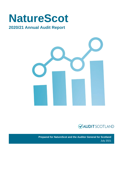# **NatureScot**

# **2020/21 Annual Audit Report**





**Prepared for NatureScot and the Auditor General for Scotland** July 2021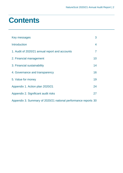# **Contents**

| Key messages                                                   | 3              |
|----------------------------------------------------------------|----------------|
| <b>Introduction</b>                                            | 4              |
| 1. Audit of 2020/21 annual report and accounts                 | $\overline{7}$ |
| 2. Financial management                                        | 10             |
| 3. Financial sustainability                                    | 14             |
| 4. Governance and transparency                                 | 16             |
| 5. Value for money                                             | 19             |
| Appendix 1. Action plan 2020/21                                | 24             |
| Appendix 2. Significant audit risks                            | 27             |
| Appendix 3. Summary of 2020/21 national performance reports 30 |                |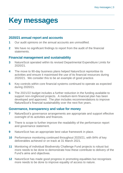# <span id="page-2-0"></span>**Key messages**

# **2020/21 annual report and accounts**

- **1** Our audit opinions on the annual accounts are unmodified.
- **2** We have no significant findings to report from the audit of the financial statements.

# **Financial management and sustainability**

- **3** NatureScot operated within its revised Departmental Expenditure Limits for 2020/21.
- **4** The move to 90-day business plans helped NatureScot reprioritise its activities and ensure it maximised the use of its financial resources during 2020/21. We consider this to be an example of good practice.
- **5** Key controls within core financial systems continued to operate as expected during 2020/21.
- **6** The 2021/22 budget includes a further reduction in the funding available to support non-ringfenced projects. A medium-term financial plan has been developed and approved. The plan includes recommendations to improve NatureScot's financial sustainability over the next five years.

# **Governance, transparency and value for money**

- **7** NatureScot's governance arrangements are appropriate and support effective oversight of its activities and finances.
- **8** There is scope to further improve the readability of the performance report and governance statement.
- **9** NatureScot has an appropriate best value framework in place.
- **10** Performance monitoring continued throughout 2020/21, with 84% of key deliverables achieved or on track at 31 March 2021.
- **11** Monitoring of individual Biodiversity Challenge Fund projects is robust but more needs to be done to demonstrate how these contribute to delivery of the Fund's aims and objectives.
- **12** NatureScot has made good progress in promoting equalities but recognises more needs to be done to improve equality of access to nature.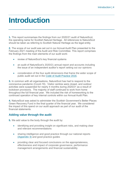# <span id="page-3-0"></span>**Introduction**

**1.** This report summarises the findings from our 2020/21 audit of NatureScot, the operating name for Scottish Natural Heritage. All references to NatureScot should be taken as referring to Scottish Natural Heritage as the legal entity.

**2.** The scope of our audit was set out in our Annual Audit Plan presented to the February 2021 meeting of the Audit and Risk Committee. This report comprises the findings from the main elements of our audit work:

- review of NatureScot's key financial systems
- an audit of NatureScot's 2020/21 annual report and accounts including the issue of an independent auditor's report setting out our opinions
- consideration of the four audit dimensions that frame the wider scope of public audit set out in the [Code of Audit Practice 2016.](http://www.audit-scotland.gov.uk/report/code-of-audit-practice-2016)

**3.** In common with all organisations, NatureScot has had to respond to the coronavirus pandemic (Covid-19). Visitor centres were closed, and outdoor activities were suspended for nearly 4 months during 2020/21 as a result of lockdown provisions. The majority of staff continued to work from home throughout the full financial year. We included the risk of homeworking to the continued operation of key internal controls within our Annual Audit Plan.

**4.** NatureScot was asked to administer the Scottish Government's Better Places Green Recovery Fund in the final quarter of the financial year. We considered the impact of this spend on our audit approach as part of our audit of the financial statements.

# **Adding value through the audit**

**5.** We add value to the body through the audit by:

- identifying and providing insight on significant risks, and making clear and relevant recommendations
- sharing intelligence and good practice through our national reports [\(Appendix 3\)](#page-29-0) and good practice guides
- providing clear and focused conclusions on the appropriateness, effectiveness and impact of corporate governance, performance management arrangements and financial sustainability.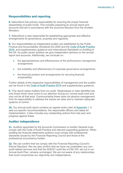# **Responsibilities and reporting**

**6.** NatureScot has primary responsibility for ensuring the proper financial stewardship of public funds. This includes preparing an annual report and accounts that are in accordance with the accounts direction from the Scottish **Ministers** 

**7.** NatureScot is also responsible for establishing appropriate and effective arrangements for governance, propriety and regularity.

**8.** Our responsibilities as independent auditor are established by the Public Finance and Accountability (Scotland) Act 2000 and the [Code of Audit Practice](https://www.audit-scotland.gov.uk/report/code-of-audit-practice-2016)  [2016,](https://www.audit-scotland.gov.uk/report/code-of-audit-practice-2016) and supplementary guidance and International Standards on Auditing in the UK. As public sector auditors we give independent opinions on the annual report and accounts. Additionally, we conclude on:

- the appropriateness and effectiveness of the performance management arrangements
- the suitability and effectiveness of corporate governance arrangements
- the financial position and arrangements for securing financial sustainability.

Further details of the respective responsibilities of management and the auditor can be found in the [Code of Audit Practice 2016](http://auditscotland.spideronline.co.uk/report/code-of-audit-practice-2016) and supplementary guidance.

**9.** This report raises matters from our audit. Weaknesses or risks identified are only those which have come to our attention during our normal audit work and may not be all that exist. Communicating these does not absolve management from its responsibility to address the issues we raise and to maintain adequate systems of control.

**10.** Our annual audit report contains an agreed action plan at [Appendix 1.](#page-23-0) It sets out specific recommendations, the responsible officers and dates for implementation. It also includes any outstanding actions from last year and progress against these.

# **Auditor independence**

**11.** Auditors appointed by the Accounts Commission or Auditor General must comply with the Code of Audit Practice and relevant supporting guidance. When auditing the financial statements auditors must comply with professional standards issued by the Financial Reporting Council and those of the professional accountancy bodies.

**12.** We can confirm that we comply with the Financial Reporting Council's Ethical Standard. We can also confirm that we have not undertaken any nonaudit related services and that the 2020/21 audit fee of £59,150, set out in our Annual Audit Plan, remains unchanged. We are not aware of any relationships that could compromise our objectivity and independence.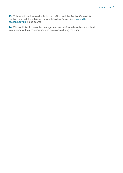**13.** This report is addressed to both NatureScot and the Auditor General for Scotland and will be published on Audit Scotland's website [www.audit](http://www.audit-scotland.gov.uk/)[scotland.gov.uk](http://www.audit-scotland.gov.uk/) in due course.

**14.** We would like to thank the management and staff who have been involved in our work for their co-operation and assistance during the audit.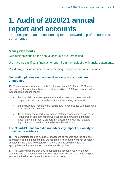# <span id="page-6-0"></span>**1. Audit of 2020/21 annual report and accounts**

The principal means of accounting for the stewardship of resources and performance

# **Main judgements**

Our audit opinions on the annual accounts are unmodified.

We have no significant findings to report from the audit of the financial statements.

Good progress was made in implementing prior year recommendations.

# **Our audit opinions on the annual report and accounts are unmodified**

**15.** The annual report and accounts for the year ended 31 March 2021 were approved by the Audit and Risk Committee on 28 July 2021. As reported in the independent auditor's report:

- the financial statements give a true and fair view and were properly prepared in accordance with the financial reporting framework
- expenditure and income were regular and in accordance with applicable enactments and guidance
- <span id="page-6-1"></span>• the performance report, governance statement and audited part of the remuneration and staff report were all consistent with the financial statements and properly prepared in accordance with the relevant legislation and directions made by Scottish Ministers.

### **The Covid-19 pandemic did not adversely impact our ability to obtain audit evidence**

**16.** The completeness and accuracy of accounting records and the extent of information and explanations that we required for our audit were not adversely affected by the Covid-19 outbreak. We were able to obtain sufficient, appropriate audit evidence to support our audit opinion.

**17.** The working papers provided to support the accounts were of a good standard and the audit team received support from finance staff which helped ensure the final accounts audit process ran smoothly.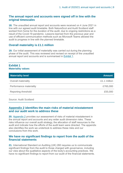### **The annual report and accounts were signed off in line with the original timescales**

**18.** The unaudited annual report and accounts were received on 4 June 2021 in line with our agreed audit timetable. Both NatureScot and Audit Scotland staff worked from home for the duration of the audit, due to ongoing restrictions as a result of the Covid-19 pandemic. Lessons learned from the previous year and use of efficient communication methods such as Microsoft Teams allowed the audit to progress in line with the planned timetable.

# **Overall materiality is £1.1 million**

**19.** Our initial assessment of materiality was carried out during the planning phase of the audit. This was reviewed and revised on receipt of the unaudited annual report and accounts and is summarised in [Exhibit](#page-7-0) 1.

#### <span id="page-7-0"></span>**Exhibit 1 Materiality values**

| <b>Materiality level</b>   | <b>Amount</b> |
|----------------------------|---------------|
| Overall materiality        | £1.1 million  |
| Performance materiality    | £765,000      |
| <b>Reporting threshold</b> | £55,000       |

Source: Audit Scotland

# **[Appendix 2](#page-26-0) identifies the main risks of material misstatement and our audit work to address these**

**20.** [Appendix 2](#page-26-0) provides our assessment of risks of material misstatement in the annual report and accounts and any wider audit dimension risks. These risks influence our overall audit strategy, the allocation of staff resources to the audit and indicate how the efforts of the audit team were directed. The appendix also identifies the work we undertook to address these risks and our conclusions from this work.

### **We have no significant findings to report from the audit of the financial statements**

**21.** International Standard on Auditing (UK) 260 requires us to communicate significant findings from the audit to those charged with governance, including our view about the qualitative aspects of the body's accounting practices. We have no significant findings to report from our audit of the financial statements.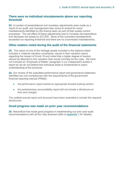### **There were no individual misstatements above our reporting threshold**

**22.** A number of presentational and monetary adjustments were made as a result of our audit, and management also chose to amend for some misstatements identified by the finance team as part of their quality control processes. The net effect of these adjustments was to increase net expenditure and decrease net assets by £27,000. None of the corrected misstatements exceeded our reporting threshold and there are no uncorrected misstatements.

# **Other matters noted during the audit of the financial statements**

**23.** The valuer of one of the heritage assets included in the balance sheet included a 'material valuation uncertainty' clause in their valuation report regarding the impact of Covid-19 and noted that a higher degree of caution should be attached to this valuation than would normally be the case. We have not included an 'Emphasis of Matter' paragraph in our independent auditor's report as we do not believe this individual asset is fundamental to users' understanding of the accounts.

**24.** Our review of the unaudited performance report and governance statement identified two non-compliances with the requirements of the government financial reporting manual (FReM):

- the performance report lacked an appropriate forward-looking section
- the parliamentary accountability report did not include a disclosure on fees and charges.

The audited annual report and accounts have been amended to include the required disclosures.

### **Good progress was made on prior year recommendations**

**25.** NatureScot has made good progress in implementing our prior year audit recommendations with all four fully actioned (refer to [Appendix 1](#page-23-0) for details).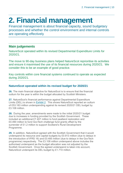# <span id="page-9-0"></span>**2. Financial management**

Financial management is about financial capacity, sound budgetary processes and whether the control environment and internal controls are operating effectively

# **Main judgements**

NatureScot operated within its revised Departmental Expenditure Limits for 2020/21.

The move to 90-day business plans helped NatureScot reprioritise its activities and ensure it maximised the use of its financial resources during 2020/21. We consider this to be an example of good practice.

Key controls within core financial systems continued to operate as expected during 2020/21.

# **NatureScot operated within its revised budget for 2020/21**

**26.** The main financial objective for NatureScot is to ensure that the financial outturn for the year is within the budget allocated by Scottish Ministers.

**27.** NatureScot's financial performance against Departmental Expenditure Limits (DEL) is shown in [Exhibit](#page-10-0) 2. This shows NatureScot reported an outturn of £53.183 million underspending against its revised 2020/21 DEL budget by £3.108 million.

**28.** During the year, amendments were made to the initial 2020/21 budget due to increases in funding provided by the Scottish Government. These included an additional £7.407 million to fund peatland restoration and £0.490 million to fund GovTech challenge fund grants offset by the surrender of £1.2 million to support Scotland's Rural Development Programme.

**29.** In addition, NatureScot agreed with the Scottish Government that it would underspend its resource and capital budgets by £0.913 million (due to delays in the introduction of IFRS 16) and £0.485 million (due to delays in the GovTech programme) respectively. The £3.108 million underspend above includes the authorised underspend as the budget allocation was not adjusted by the Scottish Government. Once the agreed underspend is taken into account, NatureScot underspent its DEL budget by £1.710 million.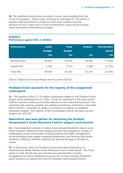**30.** No additional funding was provided to cover costs resulting from the Covid-19 pandemic. These costs, including an estimated £0.132 million in supplier relief payments to contractors who were unable to provide services (in full or part) due to Covid-19 restrictions, were met by savings made elsewhere in NatureScot's budget.

# <span id="page-10-0"></span>**Exhibit 2**

#### **Performance against DEL in 2020/21**

| <b>Performance</b>  | <b>Initial</b><br><b>Budget</b><br>£m | <b>Final</b><br><b>Budget</b><br>£m | <b>Outturn</b><br>£m | Over/(under)<br>spend<br>£m |
|---------------------|---------------------------------------|-------------------------------------|----------------------|-----------------------------|
| <b>Resource DEL</b> | 48.058                                | 50.918                              | 49.085               | (1.833)                     |
| Capital DEL         | 1.000                                 | 5.373                               | 4.098                | (1.275)                     |
| <b>Total DEL</b>    | 49.058                                | 56.291                              | 53.183               | (3.108)                     |

Source: NatureScot Annual Report and Accounts 2020/21

### **Peatland Action accounts for the majority of the unapproved underspend**

**31.** The majority of the £1.710 million underspend relates to the Peatland Action project which underspent by £1.192m. Covid-19 restrictions in the early part of 2020/21 caused a build-up of activity towards the end of the financial year. This, combined with adverse weather and additional lockdown restrictions in the latter half of 2020/21, impacted the ability of contractors to deliver on peatland restoration targets. The majority of the uncompleted activity has been carried forward into 2021/22.

### **NatureScot was lead partner for delivering the Scottish Government's Green Recovery Fund to support rural tourism**

**32.** Unprecedented numbers of visitors have enjoyed Scotland's nature since initial lockdown restrictions were relaxed but this has presented a number of challenges to local communities including parking and traffic management; accommodating more people camping/campervans; and tackling high-profile incidents of littering, wildfires, toileting and general damage to Scotland's nature.

**33.** In December 2020, the Scottish Government asked NatureScot to administer the Better Places Green Recovery Fund on their behalf. The Fund aimed to *'help identify the local impacts and opportunities of visitor management at nature destinations across the country, boosting Scotland's green recovery by making the most of increased nature-based tourism.'*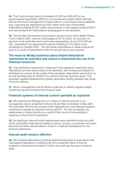**34.** The Fund provided grants of between £5,000 and £20,000 to nongovernmental organisation (NGO) or community-led projects which will help plan for the future management of nature sites in a low-impact and sustainable way, improving the experience for both visitors and local communities. Expenditure totalling £0.387 million was incurred on 35 projects during 2020/21 and was funded from NatureScot's existing grant in aid allocation.

**35.** The Scottish Government announced a second round of the Better Places Fund in March 2021, with an initial budget of £2.75 million, for provision of grants to local authorities and community organisations of up to £75,000 per site. NatureScot has approved 90 projects totalling £2.774 million to be completed by October 2021. We will review expenditure on these projects as part of our audit of NatureScot's 2021/22 annual report and accounts.

### **The move to 90-day business plans helped NatureScot reprioritise its activities and ensure it maximised the use of its financial resources**

**36.** The restrictions introduced in response to the pandemic meant that some NatureScot services were unable to be delivered, with funding and projects reprioritised as a result. At the outset of the pandemic, NatureScot moved from an annual business plan for 2020/21 to a series of 90-day business plans. This approach enabled NatureScot to quickly reprioritise funding between key areas of service delivery.

**37.** Senior management and the Board continued to receive regular budget monitoring reports throughout the financial year.

# **Financial systems of internal control operated as expected**

**38.** We reported the findings from our review of internal controls in our management report, presented to the Audit and Risk Committee in May 2021. We concluded that the key controls within NatureScot's main financial systems continued to operate as intended during 2020/21. We did not identify any weaknesses in these controls as a result of the move to homeworking in response to the Covid-19 pandemic.

**39.** No significant internal control weaknesses were identified during the audit which could affect NatureScot's ability to record, process, summarise and report financial and other relevant data to result in a material misstatement in the financial statements.

# **Internal audit remains effective**

**40.** We reviewed NatureScot's internal audit arrangements in accordance with International Standard on Auditing (UK) 610 (Using the Work of Internal Auditors) to determine the extent to which we could use the work of internal audit.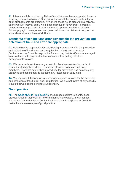**41.** Internal audit is provided by NatureScot's in-house team supported by a cosourcing contract with Azets. Our review concluded that NatureScot's internal audit arrangements are effective. Whilst we chose not to place formal reliance on the work of internal audit, we did consider five of its reviews – corporate governance arrangements, risk management systems, workforce planning follow-up, paybill management and green infrastructure claims - to support our wider dimension audit responsibilities.

### **Standards of conduct and arrangements for the prevention and detection of fraud and error are appropriate**

**42.** NatureScot is responsible for establishing arrangements for the prevention and detection of fraud, error and irregularities, bribery and corruption. Furthermore, the Board is responsible for ensuring that its affairs are managed in accordance with proper standards of conduct by putting effective arrangements in place.

**43.** We have reviewed the arrangements in place to maintain standards of conduct including the codes of conduct in place for both staff and Board members. There are established procedures for preventing and detecting any breaches of these standards including any instances of corruption.

**44.** We concluded that appropriate arrangements are in place for the prevention and detection of fraud, error and irregularities. We are not aware of any specific issues that we need to bring to your attention.

# **Good practice**

**45.** The [Code of Audit Practice 2016](http://www.audit-scotland.gov.uk/report/code-of-audit-practice-2016) encourages auditors to identify good practice which in their opinion is worth sharing more widely. In our opinion, NatureScot's introduction of 90-day business plans in response to Covid-19 restrictions is an example of good practice.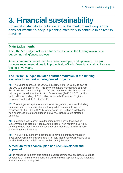# <span id="page-13-0"></span>**3. Financial sustainability**

Financial sustainability looks forward to the medium and long term to consider whether a body is planning effectively to continue to deliver its services

# **Main judgements**

The 2021/22 budget includes a further reduction in the funding available to support non-ringfenced projects.

A medium-term financial plan has been developed and approved. The plan includes recommendations to improve NatureScot's financial sustainability over the next five years.

# **The 2021/22 budget includes a further reduction in the funding available to support non-ringfenced projects**

**46.** The Board approved the 2021/22 budget, in March 2021, as part of the 2021/22 Business Plan. This shows that NatureScot plans to invest £57.1 million in nature during 2021/22 and that this will be funded by £50.2 million grant in aid from the Scottish Government (2020/21 £47.1 million) and additional funding of £6.9 million for specific European Regional Development Fund (ERDF) projects.

**47.** The budget incorporates a number of budgetary pressures including an increase in the amount allocated for paybill costs resulting in a reduction of 11% (2019/20: 11% reduction) in the funding available for non-ringfenced projects to support delivery of NatureScot's strategic priorities.

**48.** In addition to the grant in aid funding noted above, the Scottish Government has also provided £0.750 million of non-recurring Covid-19 funding to help manage the increase in visitor numbers at NatureScot's National Nature Reserves.

**49.** The Covid-19 pandemic continues to have a significant impact on Scottish Government finances, and it is likely that funding will require to be reprioritised across public sector bodies during the year.

# **A medium-term financial plan has been developed and approved**

<span id="page-13-1"></span>**50.** In response to a previous external audit recommendation, NatureScot has developed a medium-term financial plan which was approved by the Audit and Risk Committee in May 2021.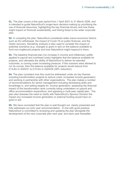**51.** The plan covers a five-year period from 1 April 2021 to 31 March 2026, and is intended to guide NatureScot's longer-term decision-making by prioritising the use of financial resources, highlighting the key financial drivers and how these might impact on financial sustainability, and linking these to the wider corporate plan.

**52.** In compiling the plan, NatureScot considered wider macro-economic factors such as EU withdrawal, the impact of Covid-19 on public finances, and the Green recovery. Sensitivity analysis is also used to consider the impact of potential scenarios (e.g. changes to grant in aid) on the balance available to fund non-ringfenced projects and how NatureScot might respond to them.

**53.** The baseline financial plan (no increase in income and inflationary uplifts applied to payroll and overhead costs) highlights that the balance available for projects, and ultimately the ability of NatureScot to deliver its intended outcomes, is coming under increasing pressure. If this scenario were allowed to run its course, then the balance available for projects would reduce from £14.8m in 2020/21 to £10.6m in 2025/26 (28% reduction).

**54.** The plan considers how this could be addressed under six key themes including transformation projects to reduce costs; increased income generation; and working in partnership with other organisations. The plan makes a number of recommendations for senior management including developing skills and knowledge in, and setting targets for, income generation; assessing the financial impact of the transformation work currently being undertaken on payroll and office accommodation expenditure; and agreeing a multi-year capital plan. The plan also stresses the need to clarify with NatureScot's Sponsor Division the impact any increased income generation or external funding would have on grant in aid.

**55.** We have concluded that the plan is well thought out, clearly presented and fully addresses our prior year recommendation. In line with good practice, NatureScot is committed to reviewing and updating the plan alongside the development of the new corporate plan next year, and each year thereafter.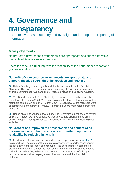# <span id="page-15-0"></span>**4. Governance and**

# **transparency**

The effectiveness of scrutiny and oversight, and transparent reporting of information

# **Main judgements**

NatureScot's governance arrangements are appropriate and support effective oversight of its activities and finances.

There is scope to further improve the readability of the performance report and governance statement.

# **NatureScot's governance arrangements are appropriate and support effective oversight of its activities and finances**

**56.** NatureScot is governed by a Board that is accountable to the Scottish Ministers. The Board met virtually six times during 2020/21 and was supported by three committees: Audit and Risk, Protected Areas and Scientific Advisory.

**57.** The Board consisted of the Chair, eight non-executive members and the Chief Executive during 2020/21. The appointments of four of the non-executive members came to an end on 31 March 2021. Seven new Board members were appointed with effect from 1 April 2021 increasing Board membership from nine to twelve.

**58.** Based on our attendance at Audit and Risk Committee meetings and review of Board minutes, we have concluded that appropriate arrangements are in place to support good governance, accountability and scrutiny of NatureScot's activities.

# **NatureScot has improved the presentation and content of its performance report but there is scope to further improve its readability by reducing its length**

**59.** In addition to the opinion on the performance report covered in [section 1](#page-6-1) of this report, we also consider the qualitative aspects of the performance report included in the annual report and accounts. The performance report should provide information on a body, its main objectives and the principal risks faced. It should provide a fair, balanced and understandable analysis of a body's performance as well as helping stakeholders understand the financial statements.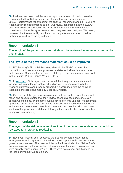**60.** Last year we noted that the annual report narrative could be improved and recommended that NatureScot review the content and presentation of the 2020/21 performance report against the financial reporting manual (FReM) and Audit Scotland's good practice guide. Our review concluded that the 2020/21 performance report addresses the areas for improvement (more balanced, cohesive and better linkages between sections) we raised last year. We noted, however, that the readability and impact of the performance report could be further improved by reducing its length.

# <span id="page-16-0"></span>**Recommendation 1**

The length of the performance report should be reviewed to improve its readability and impact.

# **The layout of the governance statement could be improved**

<span id="page-16-1"></span>**61.** HM Treasury's Financial Reporting Manual (the FReM) requires that NatureScot includes an annual governance statement within its annual report and accounts. Guidance for the content of the governance statement is set out in the Scottish Public Finance Manual (SPFM).

**62.** In [section 1](#page-6-1) of this report, we concluded that the governance statement included in the audited annual report and accounts is consistent with the financial statements and properly prepared in accordance with the relevant legislation and directions made by Scottish Ministers.

**63.** Our review of the governance statement included in the unaudited annual report and accounts noted that the 'Review of effectiveness and conclusion' section was too long, and that the overall conclusion was unclear. Management agreed to review this section and it was amended in the audited annual report and accounts. In our view, there is also scope to improve the risk assessment section of the governance statement through, for example, the use of sub-titles to improve its readability.

# **Recommendation 2**

The layout of the risk assessment section of the governance statement should be reviewed to improve its readability.

**64.** Each year internal audit assesses the Board's corporate governance arrangements and prepares a detailed report to support the disclosures in the governance statement. The Head of Internal Audit concluded that NatureScot's systems relating to internal control, risk management and corporate governance were broadly sound during 2020/21. There were no material qualifications to the Head of Internal Audit's opinion.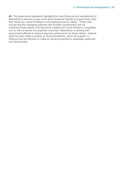**65.** The governance statement highlights the risks (financial and reputational) of NatureScot's decision to pay some grant recipients directly to support their cash flow needs as a result of delays in processing some EU claims. These risks include that the managing authority (the Scottish Government) will not reimburse these claims; and that some projects will not be funded to completion and so will not deliver the expected outcomes. NatureScot is working with government officials to improve payment performance for these claims. Internal audit has also made a number of recommendations, which we support, to improve how the decision to make an advance payment is assessed, approved and documented.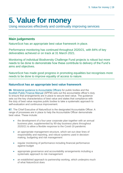# <span id="page-18-0"></span>**5. Value for money**

Using resources effectively and continually improving services

# **Main judgements**

NatureScot has an appropriate best value framework in place.

Performance monitoring has continued throughout 2020/21, with 84% of key deliverables achieved or on track at 31 March 2021.

Monitoring of individual Biodiversity Challenge Fund projects is robust but more needs to be done to demonstrate how these contribute to delivery of the Fund's aims and objectives.

NatureScot has made good progress in promoting equalities but recognises more needs to be done to improve equality of access to nature.

# **NatureScot has an appropriate best value framework**

**66.** [Ministerial guidance to Accountable Officers](https://www.gov.scot/publications/best-value-public-services-guidance-accountable-officers/) for public bodies and the [Scottish Public Finance Manual](https://www.gov.scot/publications/scottish-public-finance-manual/best-value/best-value/) (SPFM) sets out the accountable officer's duty to ensure that arrangements are in place to secure best value. The guidance sets out the key characteristics of best value and states that compliance with the duty of best value requires public bodies to take a systematic approach to self-evaluation and continuous improvement.

**67.** The Chief Executive of NatureScot is the designated Accountable Officer. A range of processes are in place to help the Accountable Officer demonstrate best value. These include:

- the development of a four-year corporate plan together with an annual business plan, supplemented by 90-day business plans throughout 2020/21 to allow a flexible response to the Covid-19 pandemic
- an appropriate management structure, which set out clear lines of responsibility and reporting, and robust systems used in decisionmaking, budgeting and risk management
- regular monitoring of performance including financial performance against budget
- appropriate governance and accountability arrangements including a systematic approach to risk management
- an established approach to partnership working, which underpins much of what NatureScot does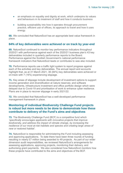- an emphasis on equality and dignity at work, which underpins its values and behaviours in its treatment of staff and how it conducts business
- building sustainability into how it operates through procurement practice, efficient use of offices, its approach to travel and how it uses energy.

**68.** We concluded that NatureScot has an appropriate best value framework in place.

# **84% of key deliverables were achieved or on track by year-end**

**69.** NatureScot continued to monitor key performance indicators throughout 2020/21 with performance against each of the 2020/21 business plan's 43 key deliverables included in quarterly performance reports to the Board. Performance against the Scottish Government's national performance framework indicators that NatureScot leads or contributes to was also included.

**70.** Performance reports use a traffic light system to report progress against each of the activities and key deliverables. The annual report and accounts highlight that, as at 31 March 2021, 36 (84%) key deliverables were achieved or on-track with 7 (16%) experiencing slippage.

**71.** Key areas of slippage include development of investment options to support income generation and diversification at nature reserves; and software developments, infrastructure investment and office portfolio design which were delayed due to Covid-19 and prioritisation of work to enhance cyber resilience. Plans are in place to recover slippage in early 2021/22.

**72.** We concluded that NatureScot has a well-developed performance management framework in place.

### **Monitoring of individual Biodiversity Challenge Fund projects is robust but more needs to be done to demonstrate how these contribute to delivery of the Fund's aims and objectives**

**73.** The Biodiversity Challenge Fund (BCF) is a competitive fund which *'specifically encourages applicants with innovative projects that improve biodiversity, and address the impact of climate change, by increasing the resilience of our most at-risk habitats and species and creating large areas of new or restored habitat'*.

**74.** NatureScot is responsible for administering the Fund including assessing and approving applications. To date there have been three rounds of funding resulting in nearly £7 million being awarded to 49 projects. As part of our wider dimension audit responsibilities, we reviewed NatureScot's arrangements for assessing applications, approving projects, monitoring their delivery, and authorising grant payments. We also considered how NatureScot monitors how these projects have contributed to the aims and objectives of the BCF.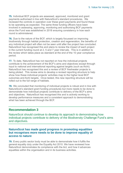**75.** Individual BCF projects are assessed, approved, monitored and grant payments authorised in line with NatureScot's standard procedures. We reviewed the controls in operation over these grant payments and found these to be operating as expected. The same three funding officers have been involved in assessing, approving, monitoring and authorising BCF payments since the Fund was established in 2018 ensuring consistency in how each round is administered.

**76.** Due to the nature of the BCF, which is largely focussed on improving biodiversity through habitat protection, creation and regeneration, the benefits of any individual project will often not be seen until after the project has concluded. NatureScot has recognised this and plans to review the impact of each project in the current funding round at 2, 5 and 7 year intervals. This is in addition to the review which takes place as standard at the end of the 10 year compliance period.

<span id="page-20-0"></span>**77.** To date, NatureScot has not reported on how the individual projects contribute to the achievement of the BCF's aims and objectives except through input to national and international reporting against targets (such as Aichi). NatureScot has recognised this and a review of BCF freshwater projects is being piloted. This review aims to develop a revised reporting structure to help show how these individual projects' activities map to the higher level BCF outcomes and Aichi targets. Once tested, this new reporting structure will be rolled out to the full range of habitats.

**78.** We concluded that monitoring of individual projects is robust and in line with NatureScot's standard grant funding procedures but more needs to be done to demonstrate how individual projects contribute to delivery of the BCF's aims and objectives. NatureScot has recognised this and is actively working to develop performance measures and a consistent approach to demonstrating what has been achieved through the BCF.

# **Recommendation 3**

NatureScot should continue to develop its approach to demonstrating how individual projects contribute to delivery of the Biodiversity Challenge Fund's aims and objectives.

### **NatureScot has made good progress in promoting equalities but recognises more needs to be done to improve equality of access to nature**

**79.** Every public sector body must be able to demonstrate how it fulfils the general equality duty under the Equality Act 2010. We have reviewed how NatureScot demonstrates its compliance with the Act, and how it advances equalities within the organisation and in its business activities.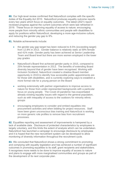**80.** Our high-level review confirmed that NatureScot complies with the specific duties of the Equality Act 2010. NatureScot produces equality outcome reports every two years which focus on equality outcomes. The latest (2021) report reviewed progress against the current outcomes which were last refreshed in 2019. These focus on improving equality of access to nature; encouraging more people from minority ethnic communities and people with disabilities to apply for positions within NatureScot; developing a more age-inclusive culture; and reducing the gender pay gap to 9%.

**81.** Notable achievements include:

- the gender pay gap target has been reduced to 8.5% (exceeding target) from 12.8% in 2013. Gender balance is relatively static at 59% female and 41% male. Gender parity has been achieved at Senior Leadership Team and Board level but there are more women employed in the lower pay grades
- NatureScot's Board first achieved gender parity in 2015, compared to 25% female representation in 2013. The benefits of extending Board diversity beyond that of gender have been recognised. Working with Inclusion Scotland, NatureScot created a shadow Board member opportunity in 2019 to identify how accessible public appointments are for those with disabilities, and is currently exploring ways to establish a more formal role for a young person on the Board
- working extensively with partner organisations to improve access to nature for those from under-represented backgrounds with a particular focus on young people. The Covid-19 pandemic has exacerbated already existing equality issues with regard to the general population, such as with inequality of access to the outdoors for minority ethnic groups
- encouraging employees to consider and embed equalities into procurement activities and when bidding for project resources. Staff have been given unconscious bias training and NatureScot is working on more generic role profiles to remove bias from recruitment processes.

**82.** Equalities reporting and assessment of improvements is hampered by a lack of available data. Disclosure of protected characteristics by employees is largely voluntary, and this limits the extent of analysis which can be undertaken. NatureScot has launched a campaign to encourage disclosure by employees and it is hoped that the new recruitment system can be developed to allow monitoring of diversity information throughout the recruitment cycle.

**83.** We concluded that NatureScot shows a strong commitment to promoting and complying with equality legislation and has achieved a number of significant outcomes in promoting equalities to its staff, grant recipients and stakeholders. It recognises more needs to be done to improve equality of access to nature and plans to engage with more marginalised communities and groups as part of the development of its next corporate plan.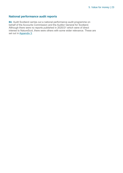# **National performance audit reports**

**84.** Audit Scotland carries out a national performance audit programme on behalf of the Accounts Commission and the Auditor General for Scotland. Although there were no reports published in 2020/21 which were of direct interest to NatureScot, there were others with some wider relevance. These are set out in [Appendix 3](#page-29-0).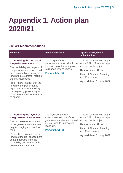# <span id="page-23-0"></span>**Appendix 1. Action plan 2020/21**

# **2020/21 recommendations**

<span id="page-23-1"></span>

| <b>Issue/risk</b>                                                                                                                                                        | <b>Recommendation</b>                                       | <b>Agreed management</b><br>action/timing                     |
|--------------------------------------------------------------------------------------------------------------------------------------------------------------------------|-------------------------------------------------------------|---------------------------------------------------------------|
| 1. Improving the impact of<br>the performance report                                                                                                                     | The length of the<br>performance report should be           | This will be reviewed as part<br>of the 2021/22 annual report |
| The readability and impact of<br>the performance report could                                                                                                            | reviewed in order to improve<br>its readability and impact. | and accounts project.                                         |
| be improved by reducing its                                                                                                                                              | Paragraph 59-60                                             | <b>Responsible officer:</b>                                   |
| length to give greater focus to<br>the key messages.                                                                                                                     |                                                             | Head of Finance, Planning<br>and Performance                  |
| Risk – there is a risk that the<br>length of the performance<br>report detracts from the key<br>messages by presenting too<br>much information for readers<br>to absorb. |                                                             | Agreed date: 31 May 2022                                      |

#### **2. Improving the layout of the governance statement**

The risk assessment section of the governance statement is quite lengthy and hard to read.

Risk – there is a risk that the length of the risk assessment section detracts from the readability and impact of the governance statement.

The layout of the risk assessment section of the governance statement should be reviewed to improve its readability.

[Paragraph 6](#page-16-1)1-63

This will be reviewed as part of the 2021/22 annual report and accounts project.

#### **Responsible officer:**

Head of Finance, Planning and Performance

**Agreed date:** 31 May 2022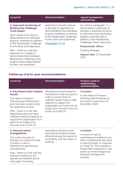| <b>Issue/risk</b>                                                                                                                                         | <b>Recommendation</b>                                                                                                                                                                                           | <b>Agreed management</b><br>action/timing                                                                                 |
|-----------------------------------------------------------------------------------------------------------------------------------------------------------|-----------------------------------------------------------------------------------------------------------------------------------------------------------------------------------------------------------------|---------------------------------------------------------------------------------------------------------------------------|
| 3. Improved monitoring of<br><b>Biodiversity Challenge</b><br><b>Fund impact</b>                                                                          | NatureScot should continue<br>to develop its approach to<br>demonstrating how individual<br>projects contribute to delivery<br>of the Biodiversity Challenge<br>Fund's aims and objectives.<br>Paragraphs 73-78 | As noted in paragraph 77, a<br>pilot project is underway to<br>develop a reporting structure                              |
| More needs to be done to<br>demonstrate how individual<br>projects contribute to delivery<br>of the Biodiversity Challenge<br>Fund's aims and objectives. |                                                                                                                                                                                                                 | to help show how freshwater<br>projects' activities link to<br>delivery of the Biodiversity<br>Challenge Fund's outcomes. |
|                                                                                                                                                           |                                                                                                                                                                                                                 | <b>Responsible officer:</b>                                                                                               |
| $Risk$ – there is a risk that                                                                                                                             |                                                                                                                                                                                                                 | <b>Funding Manager</b>                                                                                                    |
| NatureScot is unable to<br>demonstrate that individual<br><b>Biodiversity Challenge Fund</b><br>projects have helped deliver                              |                                                                                                                                                                                                                 | Agreed date: 31 December<br>2021                                                                                          |

# **Follow-up of prior year recommendations**

its aims and objectives.

| <b>Issue/risk</b>                                                                                                                                                                                                                                                                                                                                 | <b>Recommendation</b>                                                                                                                                                                                                                               | <b>Progress made in</b><br><b>implementing</b><br>recommendation                                                                                                                                                                                                           |
|---------------------------------------------------------------------------------------------------------------------------------------------------------------------------------------------------------------------------------------------------------------------------------------------------------------------------------------------------|-----------------------------------------------------------------------------------------------------------------------------------------------------------------------------------------------------------------------------------------------------|----------------------------------------------------------------------------------------------------------------------------------------------------------------------------------------------------------------------------------------------------------------------------|
| 4. Key finance post remains<br>vacant<br>The Head of Finance,<br><b>Planning and Performance</b><br>post has been vacant since<br>the beginning of June.<br>Risk – there is a risk that<br>NatureScot does not have<br>sufficient financial capacity to<br>support the organisation as it<br>plans for its longer-term<br>recovery from Covid-19. | NatureScot should progress<br>recruitment to this key post in<br>order to ensure there is<br>sufficient senior finance staff<br>capacity to support the<br>organisation as it plans for its<br>longer-term recovery from the<br>impact of Covid-19. | <b>Complete</b><br>A new Head of Finance,<br><b>Planning and Performance</b><br>has been in post since 16<br>November 2020.                                                                                                                                                |
| 5. Internal control<br>arrangements<br>The scale and pace of<br>change as a result of Covid-<br>19 poses a risk to<br>NatureScot's governance<br>arrangements.<br>$Risk$ – there is a risk that key<br>financial controls do not<br>operate as intended due to<br>new ways of working.                                                            | NatureScot should ensure<br>that internal controls remain<br>effective during this period of<br>uncertainty and new ways of<br>working.                                                                                                             | <b>Complete</b><br>A review of risks to<br>organisational resilience has<br>been completed by the Head<br>of Internal Audit, in response<br>to Covid-19. This included a<br>Fraud Risk Assessment, and<br>action to review budget and<br>financial management<br>controls. |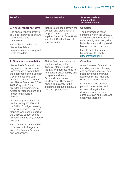| <b>Issue/risk</b>                                                                                                                                                                        | <b>Recommendation</b>                                                                                                                                                                                                                                                                                                     | Progress made in<br>implementing<br>recommendation                                                                                                                                  |
|------------------------------------------------------------------------------------------------------------------------------------------------------------------------------------------|---------------------------------------------------------------------------------------------------------------------------------------------------------------------------------------------------------------------------------------------------------------------------------------------------------------------------|-------------------------------------------------------------------------------------------------------------------------------------------------------------------------------------|
| 6. Annual report narrative                                                                                                                                                               | NatureScot should review the<br>content and presentation of<br>its performance report<br>against Annex 5 of the FReM<br>and Audit Scotland's good                                                                                                                                                                         | <b>Complete</b>                                                                                                                                                                     |
| The annual report narrative<br>could be improved to ensure<br>it is balanced and<br>transparent.                                                                                         |                                                                                                                                                                                                                                                                                                                           | practice guide.                                                                                                                                                                     |
| $Risk$ – there is a risk that<br>NatureScot fails to                                                                                                                                     |                                                                                                                                                                                                                                                                                                                           | better balance and improved<br>linkages between sections.                                                                                                                           |
| communicate effectively with<br>its stakeholders.                                                                                                                                        |                                                                                                                                                                                                                                                                                                                           | It could be further improved<br>by reducing its length<br>(Recommendation 1).                                                                                                       |
| 7. Financial sustainability                                                                                                                                                              | NatureScot should develop<br>medium to longer-term<br>financial plans in order to<br>identify and address risks to<br>its financial sustainability and<br>long-term vision for<br>Scotland's nature and<br>landscapes. These plans<br>should link closely to the<br>outcomes set out in its 2018-<br>2022 Corporate Plan. | <b>Complete</b>                                                                                                                                                                     |
| NatureScot's financial plans<br>only cover a one-year period.<br>Last year we reported that<br>the publication of the Scottish<br>Government's five-year<br>financial strategy, together |                                                                                                                                                                                                                                                                                                                           | A medium-term financial plan,<br>including scenario planning<br>and sensitivity analysis, has<br>been developed and was<br>approved by the Audit and<br>Risk Committee in May 2021. |
| with NatureScot's new 2018-<br>2022 Corporate Plan,<br>provided an opportunity to<br>further develop medium and                                                                          |                                                                                                                                                                                                                                                                                                                           | In line with good practice, the<br>plan will be reviewed and<br>updated alongside the<br>development of the new                                                                     |

Limited progress was made on this during 2018/19 with the 2019/20 budget covering a one-year period. Scenario planning was used as part of the 2019/20 budget setting process, but this only covered one year.

longer-term financial

planning.

Risk – NatureScot is unable to deliver on its long-term vision for Scotland's nature and landscapes.

development of the new corporate plan next year, and each year thereafter.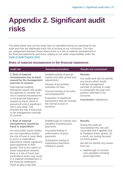# <span id="page-26-0"></span>**Appendix 2. Significant audit risks**

The table below sets out the audit risks we identified during our planning for the audit and how we addressed each risk in arriving at our conclusion. The risks are categorised between those where there is a risk of material misstatement in the financial statements and those relating to our wider responsibility under the [Code of Audit Practice 2016.](http://www.audit-scotland.gov.uk/report/code-of-audit-practice-2016)

# **Risks of material misstatement in the financial statements**

| <b>Audit risk</b>                                                                                                                                                                                                                                                                                                                                                                                                             | <b>Assurance procedure</b>                                                                                                                                                                                                                                                       | <b>Results and conclusions</b>                                                                                                                                                                                                                  |
|-------------------------------------------------------------------------------------------------------------------------------------------------------------------------------------------------------------------------------------------------------------------------------------------------------------------------------------------------------------------------------------------------------------------------------|----------------------------------------------------------------------------------------------------------------------------------------------------------------------------------------------------------------------------------------------------------------------------------|-------------------------------------------------------------------------------------------------------------------------------------------------------------------------------------------------------------------------------------------------|
| 1. Risk of material<br>misstatement due to fraud<br>caused by the management<br>override of controls<br><b>International Auditing</b><br>Standards require that audits<br>are planned to consider the<br>risk of material misstatement<br>in the financial statements<br>caused by fraud, which is<br>presumed to be a significant<br>risk in any audit. This<br>includes the risk of fraud due<br>to the management override | Detailed testing of journal<br>entries and other period end<br>adjustments.<br>Review of accounting<br>estimates for bias.<br>Focused testing of accruals<br>and prepayments.<br>Evaluation of significant<br>transactions that are outside<br>the normal course of<br>business. | <b>Results:</b><br>Our audit work did not identify<br>any issues which would<br>indicate management<br>override of controls in order<br>to manipulate the year-end<br>position reflected in the<br>accounts.<br><b>Conclusion: Satisfactory</b> |
| of controls.<br>2. Risk of material                                                                                                                                                                                                                                                                                                                                                                                           | Walkthrough of controls over                                                                                                                                                                                                                                                     | <b>Results:</b>                                                                                                                                                                                                                                 |
| misstatement caused by<br>fraud in expenditure                                                                                                                                                                                                                                                                                                                                                                                | payables including grant<br>payments.                                                                                                                                                                                                                                            | During the audit we<br>reconsidered this risk and                                                                                                                                                                                               |
| As most public-sector bodies<br>are net expenditure bodies,<br>the risk of fraud is more likely<br>to occur in expenditure.                                                                                                                                                                                                                                                                                                   | Focussed testing of<br>authorisation of grant<br>payments.                                                                                                                                                                                                                       | concluded that it applied only<br>to Peatland Action grants. As<br>a result, our testing focused<br>on these grants.                                                                                                                            |
| NatureScot makes significant<br>grant payments to third<br>parties. Due to the nature of                                                                                                                                                                                                                                                                                                                                      | Substantive testing of<br>expenditure payments<br>relating to grants.                                                                                                                                                                                                            | We did not identify any issues<br>from our:                                                                                                                                                                                                     |
| these expenditure streams<br>there is a risk of fraud over<br>expenditure which may result<br>in a material misstatement in<br>the financial statements.<br>There is also a risk that                                                                                                                                                                                                                                         |                                                                                                                                                                                                                                                                                  | • walkthrough of controls<br>over payables including<br>grant payments                                                                                                                                                                          |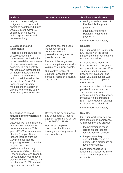| <b>Audit risk</b>                                                                                                                                                                                                                                                    | <b>Assurance procedure</b>                                                                                                                                                                  | <b>Results and conclusions</b>                                                                                                                                                                                                                |
|----------------------------------------------------------------------------------------------------------------------------------------------------------------------------------------------------------------------------------------------------------------------|---------------------------------------------------------------------------------------------------------------------------------------------------------------------------------------------|-----------------------------------------------------------------------------------------------------------------------------------------------------------------------------------------------------------------------------------------------|
| internal controls designed to<br>mitigate this risk were not<br>operating as intended during<br>2020/21 due to Covid-19                                                                                                                                              |                                                                                                                                                                                             | • testing of authorisation of<br><b>Peatland Action grant</b><br>payments                                                                                                                                                                     |
| suppression measures<br>including lockdowns and<br>remote working.                                                                                                                                                                                                   |                                                                                                                                                                                             | • substantive testing of<br><b>Peatland Action grant</b><br>payments                                                                                                                                                                          |
|                                                                                                                                                                                                                                                                      |                                                                                                                                                                                             | <b>Conclusion: Satisfactory</b>                                                                                                                                                                                                               |
| 3. Estimations and<br>judgements                                                                                                                                                                                                                                     | Assessment of the scope,<br>independence and                                                                                                                                                | <b>Results:</b>                                                                                                                                                                                                                               |
| There is a significant degree<br>of subjectivity in the<br>measurement and valuation                                                                                                                                                                                 | competence of the<br>professionals engaged to<br>provide valuations.                                                                                                                        | Our audit work did not identify<br>any issues with the scope,<br>independence or competence<br>of the expert valuers.                                                                                                                         |
| of the material account areas<br>of non-current assets and<br>accruals. This subjectivity<br>represents an increased risk<br>of material misstatement in<br>the financial statements<br>which is heightened by the<br>impact of the Covid-19<br>pandemic on property | Review of the judgements<br>and assumptions made when<br>valuing non-current assets.<br>Substantive testing of<br>2020/21 transactions with<br>particular focus on accuracy<br>and cut-off. | No issues were identified<br>from our review of the year-<br>end property valuations. One<br>valuer included a 'materiality<br>uncertainty' clause for one<br>asset valuation but this was<br>not material to our opinion on<br>the accounts. |
| markets and the ability of<br>officers to physically verify<br>work in progress at year-end.                                                                                                                                                                         |                                                                                                                                                                                             | In response to the Covid-19<br>pandemic we focused our<br>substantive testing of<br>accruals on areas which were<br>most likely to be impacted<br>(e.g. Peatland Action claims).<br>No issues were identified.                                |
|                                                                                                                                                                                                                                                                      |                                                                                                                                                                                             | <b>Conclusion: Satisfactory</b>                                                                                                                                                                                                               |
| 4. Changes to FReM                                                                                                                                                                                                                                                   | Review of the performance                                                                                                                                                                   | <b>Results:</b>                                                                                                                                                                                                                               |
| requirements for narrative<br>reporting<br>Last year we noted that there                                                                                                                                                                                             | and accountability reports<br>against requirements set out<br>in the 2020/21 FReM.                                                                                                          | Our audit work identified two<br>instances of non-compliance<br>with recommended practice:                                                                                                                                                    |
| was scope to improve the<br>performance report. This<br>year's FReM includes a new                                                                                                                                                                                   | Review of completed<br>disclosure checklist and<br>investigation of any areas of<br>non-compliance.                                                                                         | the performance report<br>lacked an appropriate<br>forward-looking section                                                                                                                                                                    |
| chapter (Chapter 3) on<br>lessons learned from the<br><b>Government Financial</b><br><b>Reporting Review, examples</b><br>of good practice and                                                                                                                       |                                                                                                                                                                                             | the parliamentary<br>accountability report did<br>not include a disclosure on<br>fees and charges.                                                                                                                                            |
| guidance on improving<br>narrative reporting. Chapters<br>5 (performance report) and 6<br>(accountability report) have<br>also been revised. There is a<br>risk that the 2020/21 annual                                                                              |                                                                                                                                                                                             | Management agreed to<br>amend the disclosures in the<br>audited annual report and<br>accounts.                                                                                                                                                |

report and accounts do not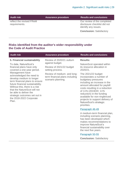requirements.

reflect the revised FReM

**Audit risk Assurance procedure Results and conclusions**

Our review of the completed disclosure checklist did not identify any issues.

**Conclusion:** Satisfactory

# **Risks identified from the auditor's wider responsibility under the Code of Audit Practice**

| <b>Audit risk</b>                                                                                                                                                                                                                                                                                                                                                                                                                | <b>Assurance procedure</b>                                                          | <b>Results and conclusions</b>                                                                                                                                                                                                                                                                                                           |
|----------------------------------------------------------------------------------------------------------------------------------------------------------------------------------------------------------------------------------------------------------------------------------------------------------------------------------------------------------------------------------------------------------------------------------|-------------------------------------------------------------------------------------|------------------------------------------------------------------------------------------------------------------------------------------------------------------------------------------------------------------------------------------------------------------------------------------------------------------------------------------|
| 5. Financial sustainability<br>To date, NatureScot's<br>financial plans have only<br>covered a one-year period.<br>Management have<br>acknowledged the need to<br>develop medium to longer<br>term financial plans to ensure<br>future financial sustainability.<br>Without this, there is a risk<br>that the NatureScot will not<br>be able to deliver the<br>strategic outcomes set out in<br>the 2018-2022 Corporate<br>Plan. | Review of 2020/21 outturn                                                           | <b>Results:</b>                                                                                                                                                                                                                                                                                                                          |
|                                                                                                                                                                                                                                                                                                                                                                                                                                  | against budget.<br>Review of 2021/22 budget<br>setting process.                     | NatureScot operated within<br>its resource allocation in<br>2020/21.                                                                                                                                                                                                                                                                     |
|                                                                                                                                                                                                                                                                                                                                                                                                                                  | Review of medium- and long-<br>term financial plans including<br>scenario planning. | The 2021/22 budget<br>incorporates a number of<br>budgetary pressures<br>including an increase in the<br>amount allocated for paybill<br>costs resulting in a reduction<br>of 11% (2019/20: 11%<br>reduction) in the funding<br>available for non-ringfenced<br>projects to support delivery of<br>NatureScot's strategic<br>priorities. |
|                                                                                                                                                                                                                                                                                                                                                                                                                                  |                                                                                     | Paragraph 46-49                                                                                                                                                                                                                                                                                                                          |
|                                                                                                                                                                                                                                                                                                                                                                                                                                  |                                                                                     | A medium-term financial plan,<br>including scenario planning,<br>has been developed which<br>makes recommendations to<br>improve NatureScot's<br>financial sustainability over<br>the next five years.                                                                                                                                   |
|                                                                                                                                                                                                                                                                                                                                                                                                                                  |                                                                                     | Paragraph 50-55                                                                                                                                                                                                                                                                                                                          |
|                                                                                                                                                                                                                                                                                                                                                                                                                                  |                                                                                     | <b>Conclusion: Satisfactory</b>                                                                                                                                                                                                                                                                                                          |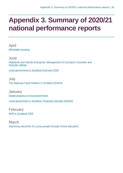# <span id="page-29-0"></span>**Appendix 3. Summary of 2020/21 national performance reports**

April [Affordable housing](https://www.audit-scotland.gov.uk/report/affordable-housing)

June [Highlands and Islands Enterprise: Management of Cairngorm mountain and](https://www.audit-scotland.gov.uk/report/highlands-and-islands-enterprise-management-of-cairngorm-mountain-and-funicular-railway)  [funicular railway](https://www.audit-scotland.gov.uk/report/highlands-and-islands-enterprise-management-of-cairngorm-mountain-and-funicular-railway)

[Local government in Scotland Overview 2020](https://www.audit-scotland.gov.uk/report/local-government-in-scotland-overview-2020)

**July** [The National Fraud Initiative in Scotland 2018/19](https://www.audit-scotland.gov.uk/report/the-national-fraud-initiative-in-scotland-201819)

**January** [Digital progress in local government](https://www.audit-scotland.gov.uk/report/digital-progress-in-local-government) [Local government in Scotland: Financial overview 2019/20](https://www.audit-scotland.gov.uk/report/local-government-in-scotland-financial-overview-201920)

February [NHS in Scotland 2020](https://www.audit-scotland.gov.uk/report/nhs-in-scotland-2020)

March [Improving outcomes for young people through school education](https://www.audit-scotland.gov.uk/report/improving-outcomes-for-young-people-through-school-education)